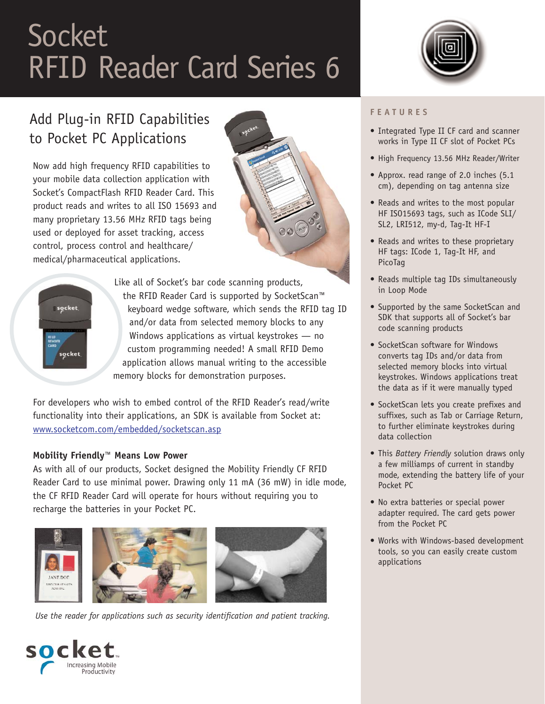# **Socket** RFID Reader Card Series 6



# Add Plug-in RFID Capabilities to Pocket PC Applications

Now add high frequency RFID capabilities to your mobile data collection application with Socket's CompactFlash RFID Reader Card. This product reads and writes to all ISO 15693 and many proprietary 13.56 MHz RFID tags being used or deployed for asset tracking, access control, process control and healthcare/ medical/pharmaceutical applications.





Like all of Socket's bar code scanning products, the RFID Reader Card is supported by SocketScan™ keyboard wedge software, which sends the RFID tag ID and/or data from selected memory blocks to any Windows applications as virtual keystrokes — no custom programming needed! A small RFID Demo application allows manual writing to the accessible memory blocks for demonstration purposes.

For developers who wish to embed control of the RFID Reader's read/write functionality into their applications, an SDK is available from Socket at: [www.socketcom.com/embedded/socketscan.asp](http://www.socketcom.com/embedded/socketscan.asp)

## **Mobility Friendly™ Means Low Power**

As with all of our products, Socket designed the Mobility Friendly CF RFID Reader Card to use minimal power. Drawing only 11 mA (36 mW) in idle mode, the CF RFID Reader Card will operate for hours without requiring you to recharge the batteries in your Pocket PC.



*Use the reader for applications such as security identification and patient tracking.*

#### **FEATURES**

- Integrated Type II CF card and scanner works in Type II CF slot of Pocket PCs
- High Frequency 13.56 MHz Reader/Writer
- Approx. read range of 2.0 inches (5.1 cm), depending on tag antenna size
- Reads and writes to the most popular HF ISO15693 tags, such as ICode SLI/ SL2, LRI512, my-d, Tag-It HF-I
- Reads and writes to these proprietary HF tags: ICode 1, Tag-It HF, and PicoTag
- Reads multiple tag IDs simultaneously in Loop Mode
- Supported by the same SocketScan and SDK that supports all of Socket's bar code scanning products
- SocketScan software for Windows converts tag IDs and/or data from selected memory blocks into virtual keystrokes. Windows applications treat the data as if it were manually typed
- SocketScan lets you create prefixes and suffixes, such as Tab or Carriage Return, to further eliminate keystrokes during data collection
- This *Battery Friendly* solution draws only a few milliamps of current in standby mode, extending the battery life of your Pocket PC
- No extra batteries or special power adapter required. The card gets power from the Pocket PC
- Works with Windows-based development tools, so you can easily create custom applications